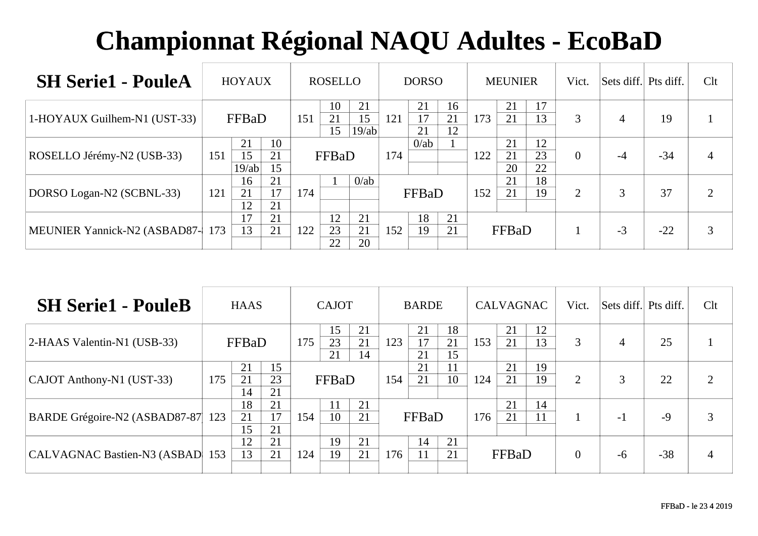| <b>SH Serie1 - PouleA</b>    |     | <b>HOYAUX</b>     |                |     | <b>ROSELLO</b> |                   |     | <b>DORSO</b>   |                |     | <b>MEUNIER</b> |                | Vict.          | Sets diff. Pts diff. |       | Clt |
|------------------------------|-----|-------------------|----------------|-----|----------------|-------------------|-----|----------------|----------------|-----|----------------|----------------|----------------|----------------------|-------|-----|
| 1-HOYAUX Guilhem-N1 (UST-33) |     | FFBaD             |                | 151 | 10<br>21<br>15 | 21<br>15<br>19/ab | 121 | 21<br>17<br>21 | 16<br>21<br>12 | 173 | 21<br>21       | 17<br>13       | 3              |                      | 19    |     |
| ROSELLO Jérémy-N2 (USB-33)   | 151 | 21<br>15<br>19/ab | 10<br>21<br>15 |     | FFBaD          |                   | 174 | $0$ /ab        |                | 122 | 21<br>21<br>20 | 12<br>23<br>22 | $\overline{0}$ | $-4$                 | $-34$ |     |
| DORSO Logan-N2 (SCBNL-33)    | 121 | 16<br>21<br>12    | 21<br>17<br>21 | 174 |                | $0$ /ab           |     | FFBaD          |                | 152 | 21<br>21       | 18<br>19       | $\overline{2}$ | 3                    | 37    |     |
| MEUNIER Yannick-N2 (ASBAD87- | 173 | 17<br>13          | 21<br>21       | 122 | 12<br>23<br>22 | 21<br>21<br>20    | 152 | 18<br>19       | 21<br>21       |     | FFBaD          |                |                | $-3$                 | $-22$ | 3   |

| <b>SH Serie1 - PouleB</b>          |     | <b>HAAS</b>    |                |     | <b>CAJOT</b>   |                |     | <b>BARDE</b>   |                |     | <b>CALVAGNAC</b> |          | Vict.          | Sets diff. Pts diff. |       | Clt |
|------------------------------------|-----|----------------|----------------|-----|----------------|----------------|-----|----------------|----------------|-----|------------------|----------|----------------|----------------------|-------|-----|
| 2-HAAS Valentin-N1 (USB-33)        |     | FFBaD          |                | 175 | 15<br>23<br>21 | 21<br>21<br>14 | 123 | 21<br>17<br>21 | 18<br>21<br>15 | 153 | 21<br>21         | 12<br>13 | 3              | 4                    | 25    |     |
| CAJOT Anthony-N1 (UST-33)          | 175 | 21<br>21<br>14 | 15<br>23<br>21 |     | FFBaD          |                | 154 | 21<br>21       | 11<br>10       | 124 | 21<br>21         | 19<br>19 | 2              | 3                    | 22    | 2   |
| BARDE Grégoire-N2 (ASBAD87-87  123 |     | 18<br>21<br>15 | 21<br>17<br>21 | 154 | 11<br>10       | 21<br>21       |     | FFBaD          |                | 176 | 21<br>21         | 14<br>11 |                | $-1$                 | $-9$  | 3   |
| <b>CALVAGNAC Bastien-N3 (ASBAD</b> | 153 | 12<br>13       | 21<br>21       | 124 | 19<br>19       | 21<br>21       | 176 | 14<br>11       | 21<br>21       |     | FFBaD            |          | $\overline{0}$ | $-6$                 | $-38$ | 4   |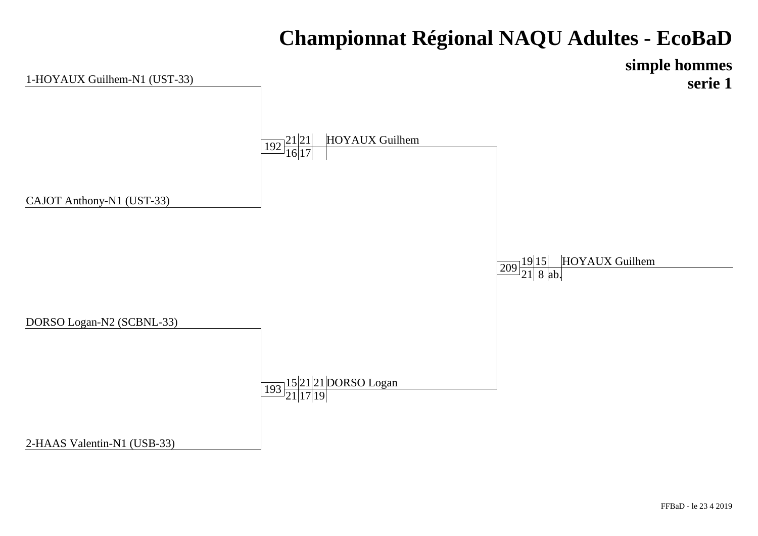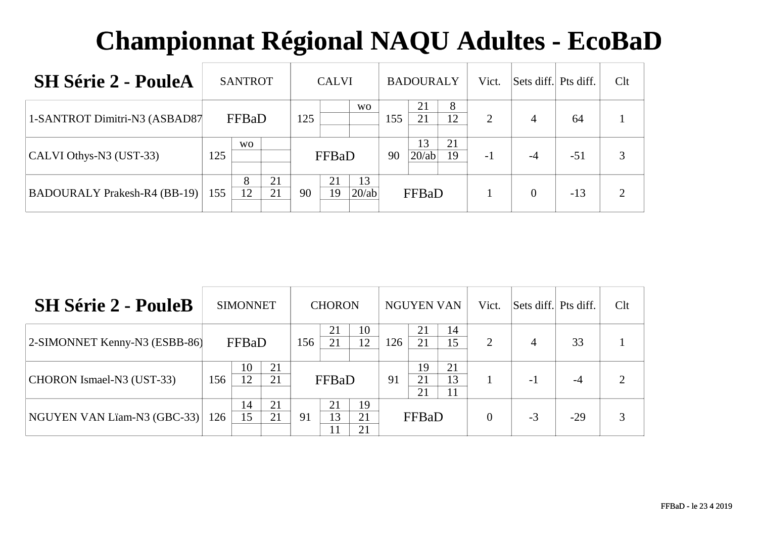| <b>SH Série 2 - PouleA</b>          |     | <b>SANTROT</b>                 |          |    | <b>CALVI</b> |             |     | <b>BADOURALY</b> |          | Vict. | Sets diff. Pts diff. |       | Clt |
|-------------------------------------|-----|--------------------------------|----------|----|--------------|-------------|-----|------------------|----------|-------|----------------------|-------|-----|
| 1-SANTROT Dimitri-N3 (ASBAD87       |     | FFBaD<br>125<br>W <sub>O</sub> |          |    |              | <b>WO</b>   | 155 | 21<br>21         | 8<br>12  | 2     | 4                    | 64    |     |
| $ CALVI$ Othys-N3 (UST-33)          | 125 |                                |          |    | FFBaD        |             | 90  | 13<br>20/ab      | 21<br>19 | $-1$  | $-4$                 | $-51$ |     |
| <b>BADOURALY Prakesh-R4 (BB-19)</b> | 155 | 8<br>12                        | 21<br>21 | 90 | 21<br>19     | 13<br>20/ab |     | FFBaD            |          |       | $\theta$             | $-13$ |     |

| <b>SH Série 2 - PouleB</b>    |                 | <b>SIMONNET</b> |          |     | <b>CHORON</b> |                |     | <b>NGUYEN VAN</b> |                | Vict.    | Sets diff. Pts diff. |       | Clt |
|-------------------------------|-----------------|-----------------|----------|-----|---------------|----------------|-----|-------------------|----------------|----------|----------------------|-------|-----|
| 2-SIMONNET Kenny-N3 (ESBB-86) |                 | FFBaD           |          | 156 | 21            | 10<br>12       | 126 | 21<br>21          | 14<br>15       | 2        | $\overline{4}$       | 33    |     |
| CHORON Ismael-N3 (UST-33)     | 156             | 10<br>12        | 21<br>21 |     | FFBaD         |                | 91  | 19<br>21<br>21    | 21<br>13<br>11 |          | - 1                  | $-4$  |     |
| NGUYEN VAN Lïam-N3 (GBC-33)   | 14<br>15<br>126 |                 | 21<br>21 | 91  | 21<br>13      | 19<br>21<br>21 |     | FFBaD             |                | $\Omega$ | $-3$                 | $-29$ | 3   |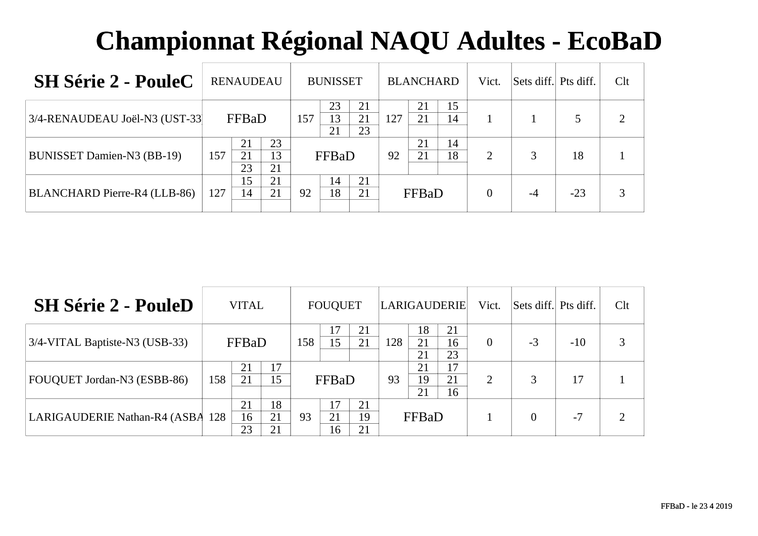| <b>SH Série 2 - PouleC</b>        | <b>RENAUDEAU</b>                        | <b>BUNISSET</b>                         | <b>BLANCHARD</b>            | Vict. | Sets diff. | Pts diff. | Clt |
|-----------------------------------|-----------------------------------------|-----------------------------------------|-----------------------------|-------|------------|-----------|-----|
| 3/4-RENAUDEAU Joël-N3 (UST-33)    | FFBaD                                   | 23<br>21<br>157<br>13<br>21<br>23<br>21 | 15<br>21<br>127<br>21<br>14 |       |            |           |     |
| <b>BUNISSET Damien-N3 (BB-19)</b> | 23<br>21<br>13<br>157<br>21<br>23<br>21 | FFBaD                                   | 21<br>14<br>18<br>92<br>21  | 2     |            | 18        |     |
| BLANCHARD Pierre-R4 (LLB-86)      | 15<br>21<br>21<br>127<br>14             | 21<br>14<br>92<br>18<br>21              | FFBaD                       |       | $-4$       | $-23$     |     |

| <b>SH Série 2 - PouleD</b>       |     | <b>VITAL</b>   |                |     | <b>FOUQUET</b> |                | LARIGAUDERIE |                |                | Vict.    | Sets diff. Pts diff. |       | Clt |
|----------------------------------|-----|----------------|----------------|-----|----------------|----------------|--------------|----------------|----------------|----------|----------------------|-------|-----|
| 3/4-VITAL Baptiste-N3 (USB-33)   |     | FFBaD          |                | 158 | 15             | 21<br>21       | 128          | 18<br>21<br>21 | 21<br>16<br>23 | $\Omega$ | $-3$                 | $-10$ |     |
| FOUQUET Jordan-N3 (ESBB-86)      | 158 | 21<br>21       | 17<br>15       |     | FFBaD          |                | 93           | 21<br>19<br>21 | 17<br>21<br>16 | 2        | 3                    | 17    |     |
| LARIGAUDERIE Nathan-R4 (ASBA 128 |     | 21<br>16<br>23 | 18<br>21<br>21 | 93  | 17<br>21<br>16 | 21<br>19<br>21 |              | FFBaD          |                |          | $\Omega$             | $-7$  |     |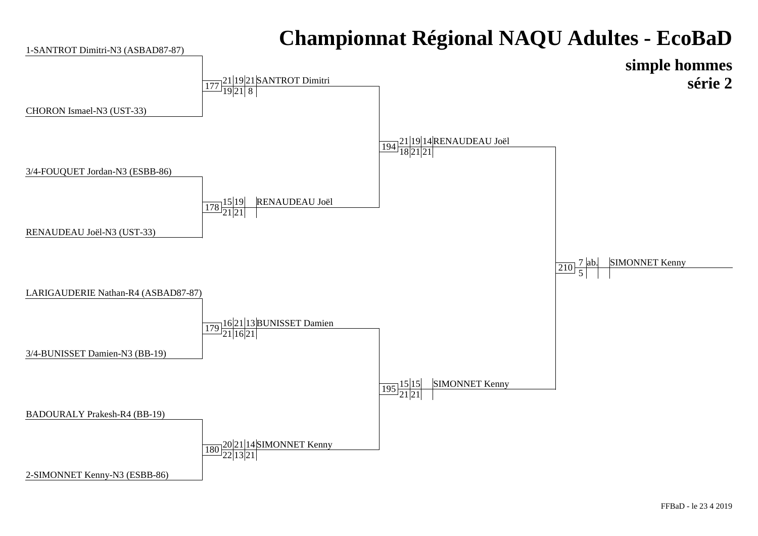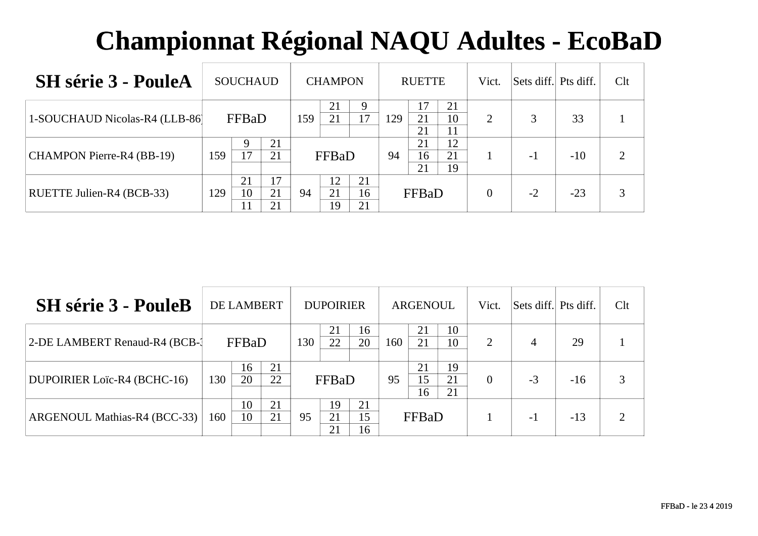| <b>SH</b> série 3 - PouleA     |                  | <b>SOUCHAUD</b> |                |     | <b>CHAMPON</b> |                |     | <b>RUETTE</b>  |                | Vict.    | Sets diff. Pts diff. |       | Clt |
|--------------------------------|------------------|-----------------|----------------|-----|----------------|----------------|-----|----------------|----------------|----------|----------------------|-------|-----|
| 1-SOUCHAUD Nicolas-R4 (LLB-86) | FFBaD<br>21<br>Q |                 |                | 159 | 21<br>21       | Q<br>17        | 129 | 17<br>21<br>21 | 21<br>10<br>11 | 2        |                      | 33    |     |
| CHAMPON Pierre-R4 (BB-19)      | 159              | 17              | 21             |     | FFBaD          |                | 94  | 21<br>16<br>21 | 12<br>21<br>19 |          | - 1                  | $-10$ |     |
| RUETTE Julien-R4 (BCB-33)      | 129              | 21<br>10        | 17<br>21<br>21 | 94  | 12<br>21<br>19 | 21<br>16<br>21 |     | FFBaD          |                | $\Omega$ | $-2$                 | $-23$ | 3   |

| <b>SH</b> série 3 - PouleB     |     | DE LAMBERT |          |     | <b>DUPOIRIER</b> |                |     | <b>ARGENOUL</b> |                | Vict.                 | Sets diff. Pts diff. |       | Clt |
|--------------------------------|-----|------------|----------|-----|------------------|----------------|-----|-----------------|----------------|-----------------------|----------------------|-------|-----|
| 2-DE LAMBERT Renaud-R4 (BCB-1) |     | FFBaD      |          | 130 | 21<br>22         | 16<br>20       | 160 | 21<br>21        | 10<br>10       | $\mathcal{D}_{\cdot}$ | $\overline{4}$       | 29    |     |
| DUPOIRIER Loïc-R4 (BCHC-16)    | 130 | 16<br>20   | 21<br>22 |     | FFBaD            |                | 95  | 21<br>15<br>16  | 19<br>21<br>21 | 0                     | $-3$                 | $-16$ | 3   |
| ARGENOUL Mathias-R4 (BCC-33)   | 160 | 10<br>10   | 21<br>21 | 95  | 19<br>21<br>21   | 21<br>15<br>16 |     | FFBaD           |                |                       | $-1$                 | $-13$ |     |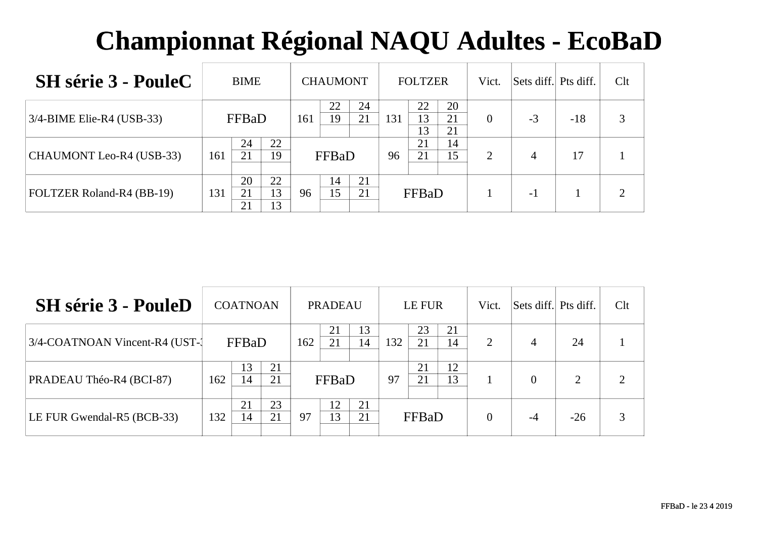| <b>SH</b> série 3 - PouleC      | <b>BIME</b>           |          |          | <b>CHAUMONT</b> |          |              | <b>FOLTZER</b> |                | Vict.    | Sets diff. Pts diff. |       | Clt |
|---------------------------------|-----------------------|----------|----------|-----------------|----------|--------------|----------------|----------------|----------|----------------------|-------|-----|
| $3/4$ -BIME Elie-R4 (USB-33)    | FFBaD                 |          | 161      | 22<br>19        | 24<br>21 | 131          | 22<br>13<br>13 | 20<br>21<br>21 | $\theta$ | $-3$                 | $-18$ |     |
| <b>CHAUMONT Leo-R4 (USB-33)</b> | 24<br>21<br>161       | 22<br>19 |          | FFBaD           |          | 96           | 21<br>21       | 14<br>15       | 2        | 4                    |       |     |
| FOLTZER Roland-R4 (BB-19)       | 20<br>21<br>131<br>21 | 96       | 14<br>15 | 21<br>21        |          | <b>FFBaD</b> |                |                | - 1      |                      |       |     |

| <b>SH</b> série 3 - PouleD      |     | <b>COATNOAN</b> |          |     | <b>PRADEAU</b> |          |     | LE FUR   |          | Vict.          | Sets diff. Pts diff. |                | Clt |
|---------------------------------|-----|-----------------|----------|-----|----------------|----------|-----|----------|----------|----------------|----------------------|----------------|-----|
| 3/4-COATNOAN Vincent-R4 (UST-1) |     | FFBaD           |          | 162 | 21<br>21       | 13<br>14 | 132 | 23<br>21 | 21<br>14 | $\overline{2}$ | 4                    | 24             |     |
| PRADEAU Théo-R4 (BCI-87)        | 162 | 13<br>14        | 21<br>21 |     | FFBaD          |          | 97  | 21<br>21 | 12<br>13 |                | $\Omega$             | $\overline{2}$ |     |
| LE FUR Gwendal-R5 (BCB-33)      | 132 | 21<br>14        | 23<br>21 | 97  | 12<br>13       | 21<br>21 |     | FFBaD    |          | $\theta$       | $-4$                 | $-26$          |     |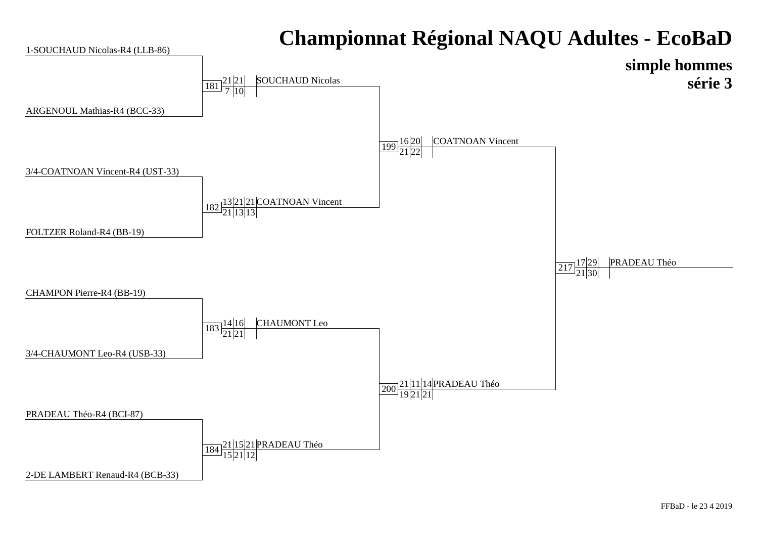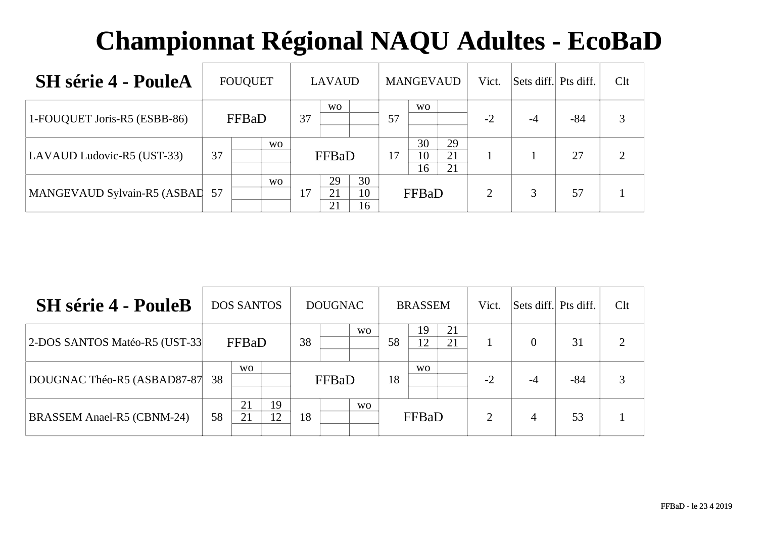| <b>SH</b> série 4 - PouleA     |                    | <b>FOUQUET</b> |                |    | <b>LAVAUD</b>  |                |    | <b>MANGEVAUD</b> |                | Vict. | Sets diff. Pts diff. |       | Clt |
|--------------------------------|--------------------|----------------|----------------|----|----------------|----------------|----|------------------|----------------|-------|----------------------|-------|-----|
| 1-FOUQUET Joris-R5 (ESBB-86)   | FFBaD<br><b>WO</b> |                |                | 37 | <b>WO</b>      |                | 57 | <b>WO</b>        |                | $-2$  | $-4$                 | $-84$ |     |
| LAVAUD Ludovic-R5 (UST-33)     | 37                 |                |                |    | FFBaD          |                | 17 | 30<br>10<br>16   | 29<br>21<br>21 |       |                      | 27    |     |
| MANGEVAUD Sylvain-R5 (ASBAI 57 |                    |                | W <sub>O</sub> | 17 | 29<br>21<br>21 | 30<br>10<br>16 |    | FFBaD            |                | ◠     | 3                    | 57    |     |

| <b>SH</b> série 4 - PouleB        |    | <b>DOS SANTOS</b>       |          |    | <b>DOUGNAC</b> |           |    | <b>BRASSEM</b> |          | Vict.          | Sets diff. Pts diff. |       | Clt            |
|-----------------------------------|----|-------------------------|----------|----|----------------|-----------|----|----------------|----------|----------------|----------------------|-------|----------------|
| 2-DOS SANTOS Matéo-R5 (UST-33     |    | FFBaD<br>W <sub>O</sub> |          |    |                | <b>WO</b> | 58 | 19<br>12       | 21<br>21 |                | $\Omega$             | 31    | $\overline{2}$ |
| DOUGNAC Théo-R5 (ASBAD87-87       | 38 |                         |          |    | FFBaD          |           | 18 | W <sub>O</sub> |          | $-2$           | -4                   | $-84$ | 3              |
| <b>BRASSEM Anael-R5 (CBNM-24)</b> | 58 | 21<br>21                | 19<br>12 | 18 |                | <b>WO</b> |    | FFBaD          |          | $\overline{2}$ | 4                    | 53    |                |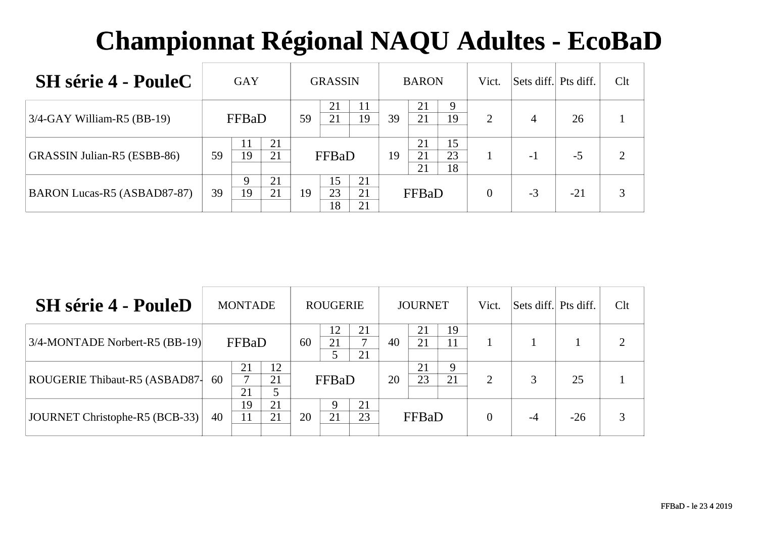| <b>SH</b> série 4 - PouleC    | GAY                       |    | <b>GRASSIN</b>                   |    | <b>BARON</b>                     | Vict.    | Sets diff. Pts diff. |       | Clt |
|-------------------------------|---------------------------|----|----------------------------------|----|----------------------------------|----------|----------------------|-------|-----|
| $3/4$ -GAY William-R5 (BB-19) | FFBaD                     | 59 | 21<br>19<br>21                   | 39 | 21<br>9<br>19<br>21              | 2        | 4                    | 26    |     |
| GRASSIN Julian-R5 (ESBB-86)   | 21<br>19<br>21<br>59      |    | FFBaD                            | 19 | 15<br>21<br>23<br>21<br>18<br>21 |          | - 1                  | $-5$  |     |
| BARON Lucas-R5 (ASBAD87-87)   | 21<br>Q<br>21<br>19<br>39 | 19 | 15<br>21<br>23<br>21<br>18<br>21 |    | FFBaD                            | $\theta$ | $-3$                 | $-21$ |     |

| <b>SH</b> série 4 - PouleD            |    | <b>MONTADE</b> |          |    | <b>ROUGERIE</b> |          |    | <b>JOURNET</b> |         | Vict.          | Sets diff. Pts diff. |       | Clt           |
|---------------------------------------|----|----------------|----------|----|-----------------|----------|----|----------------|---------|----------------|----------------------|-------|---------------|
| $3/4$ -MONTADE Norbert-R5 (BB-19)     |    | FFBaD          |          | 60 | 21              | 21<br>21 | 40 | 21<br>21       | 19      |                |                      |       | $\mathcal{D}$ |
| ROUGERIE Thibaut-R5 (ASBAD87-         | 60 | 21<br>⇁<br>21  | 12<br>21 |    | FFBaD           |          | 20 | 21<br>23       | Q<br>21 | $\overline{2}$ |                      | 25    |               |
| <b>JOURNET Christophe-R5 (BCB-33)</b> | 40 | 19<br>11       | 21<br>21 | 20 | 21              | 21<br>23 |    | FFBaD          |         | $\Omega$       | $-4$                 | $-26$ |               |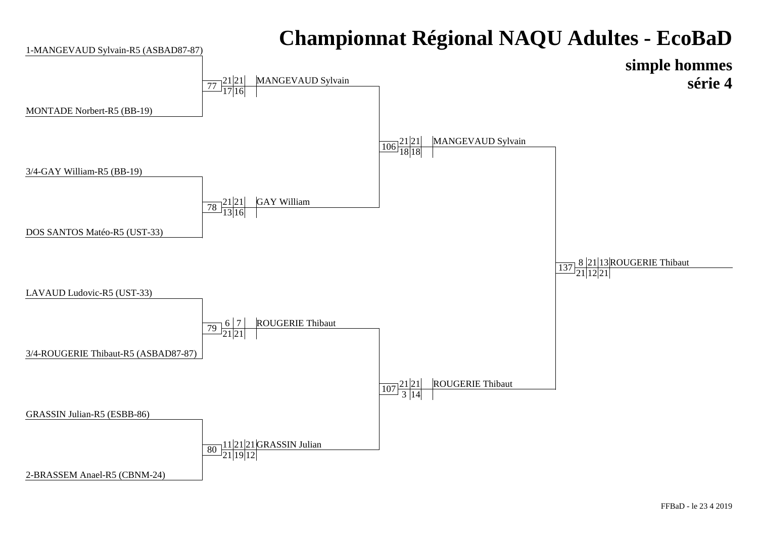#### **Championnat Régional NAQU Adultes - EcoBaD simple hommes série 4**1-MANGEVAUD Sylvain-R5 (ASBAD87-87)3/4-GAY William-R5 (BB-19)MONTADE Norbert-R5 (BB-19) $\frac{106}{18}\frac{21}{18}$  MANGEVAUD Sylvain 77 $\frac{21|21}{17|16}$  MANGEVAUD Sylvain  $\frac{78}{13}\frac{21}{16}$ GAY William



#### GRASSIN Julian-R5 (ESBB-86) $\frac{107}{3}$  $\frac{21}{14}$  ROUGERIE Thibaut  $\overline{80}$   $\frac{11|21|21|GRASSIN Julian}{21|19|12}$

2-BRASSEM Anael-R5 (CBNM-24)

3/4-ROUGERIE Thibaut-R5 (ASBAD87-87)

DOS SANTOS Matéo-R5 (UST-33)

 $\frac{137}{21}$  $\frac{8}{21}$  $\frac{21}{12}$  $\frac{21}{21}$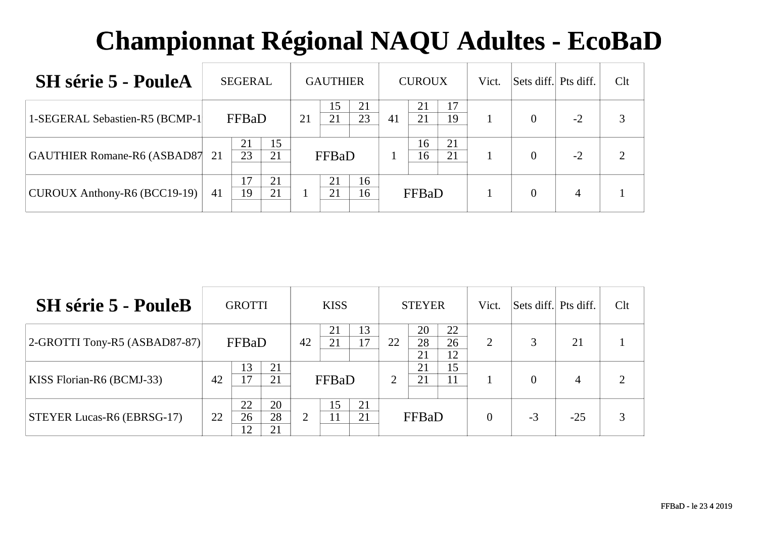| <b>SH</b> série 5 - PouleA      |    | <b>SEGERAL</b> |          |                      | <b>GAUTHIER</b> |          |    | <b>CUROUX</b> |          | Vict. | Sets diff. Pts diff. |                | Clt |
|---------------------------------|----|----------------|----------|----------------------|-----------------|----------|----|---------------|----------|-------|----------------------|----------------|-----|
| 1-SEGERAL Sebastien-R5 (BCMP-1) |    | FFBaD          |          | 21                   | 15<br>21        | 21<br>23 | 41 | 21<br>21      | 17<br>19 |       | $\Omega$             | $-2$           |     |
| GAUTHIER Romane-R6 (ASBAD87 21  |    | 21<br>23       | 15<br>21 |                      | FFBaD           |          |    | 16<br>16      | 21<br>21 |       | $\Omega$             | $-2$           |     |
| CUROUX Anthony-R6 (BCC19-19)    | 41 | 17<br>19       | 21<br>21 | 21<br>16<br>21<br>16 |                 |          |    | FFBaD         |          |       | $\Omega$             | $\overline{4}$ |     |

| <b>SH</b> série 5 - PouleB        |    | <b>GROTTI</b>  |                |    | <b>KISS</b> |          |                | <b>STEYER</b>  |                | Vict.    | Sets diff. Pts diff. |                | Clt |
|-----------------------------------|----|----------------|----------------|----|-------------|----------|----------------|----------------|----------------|----------|----------------------|----------------|-----|
| $ 2$ -GROTTI Tony-R5 (ASBAD87-87) |    | FFBaD          |                | 42 | 21<br>21    | 13<br>17 | 22             | 20<br>28<br>21 | 22<br>26<br>12 | 2        |                      | 21             |     |
| KISS Florian-R6 (BCMJ-33)         | 42 | 13<br>17       | 21<br>21       |    | FFBaD       |          | $\overline{2}$ | 21<br>21       | 15<br>11       |          | $\Omega$             | $\overline{4}$ | ◠   |
| <b>STEYER Lucas-R6 (EBRSG-17)</b> | 22 | 22<br>26<br>12 | 20<br>28<br>21 | 2  | 15          | 21<br>21 |                | FFBaD          |                | $\Omega$ | $-3$                 | $-25$          |     |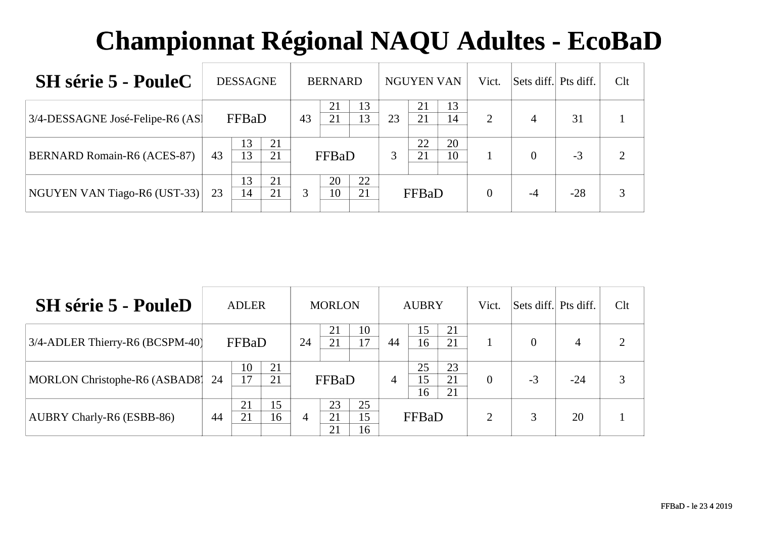| <b>SH</b> série 5 - PouleC       |    | <b>DESSAGNE</b> |          |    | <b>BERNARD</b> |          |    | <b>NGUYEN VAN</b> |          | Vict. | Sets diff. Pts diff. |       | Clt |
|----------------------------------|----|-----------------|----------|----|----------------|----------|----|-------------------|----------|-------|----------------------|-------|-----|
| 3/4-DESSAGNE José-Felipe-R6 (AS) |    | FFBaD           |          | 43 | 21<br>21       | 13<br>13 | 23 | 21<br>21          | 13<br>14 | 2     | 4                    | 31    |     |
| BERNARD Romain-R6 (ACES-87)      | 43 | 13<br>13        | 21<br>21 |    | FFBaD          |          | 3  | 22<br>21          | 20<br>10 |       | $\theta$             | $-3$  |     |
| NGUYEN VAN Tiago-R6 (UST-33)     | 23 | 13<br>14        | 21<br>21 | 3  | 20<br>10       | 22<br>21 |    | FFBaD             |          |       | $-4$                 | $-28$ |     |

| <b>SH</b> série 5 - PouleD       |    | <b>ADLER</b> |          |                | <b>MORLON</b>  |                |    | <b>AUBRY</b>                |                | Vict.                       | Sets diff. Pts diff. |       | Clt                         |
|----------------------------------|----|--------------|----------|----------------|----------------|----------------|----|-----------------------------|----------------|-----------------------------|----------------------|-------|-----------------------------|
| 3/4-ADLER Thierry-R6 (BCSPM-40)  |    | FFBaD        |          | 24             | 21<br>21       | 10<br>17       | 44 | 15 <sup>15</sup><br>16      | 21<br>21       |                             | $\theta$             | 4     | $\mathcal{D}_{\mathcal{L}}$ |
| MORLON Christophe-R6 (ASBAD8) 24 |    | 10<br>17     | 21<br>21 |                | FFBaD          |                | 4  | 25<br>15 <sup>5</sup><br>16 | 23<br>21<br>21 | $\Omega$                    | $-3$                 | $-24$ | 3                           |
| <b>AUBRY Charly-R6 (ESBB-86)</b> | 44 | 21<br>21     | 15<br>16 | $\overline{4}$ | 23<br>21<br>21 | 25<br>15<br>16 |    | FFBaD                       |                | $\mathcal{D}_{\mathcal{L}}$ | 3                    | 20    |                             |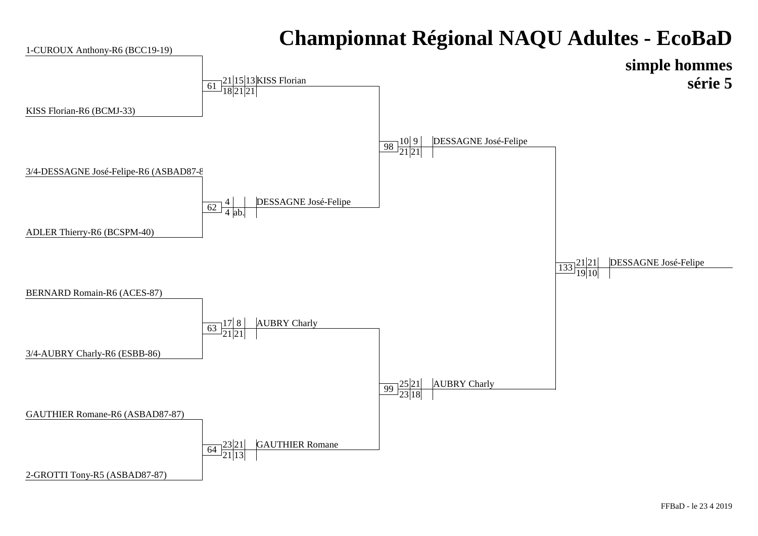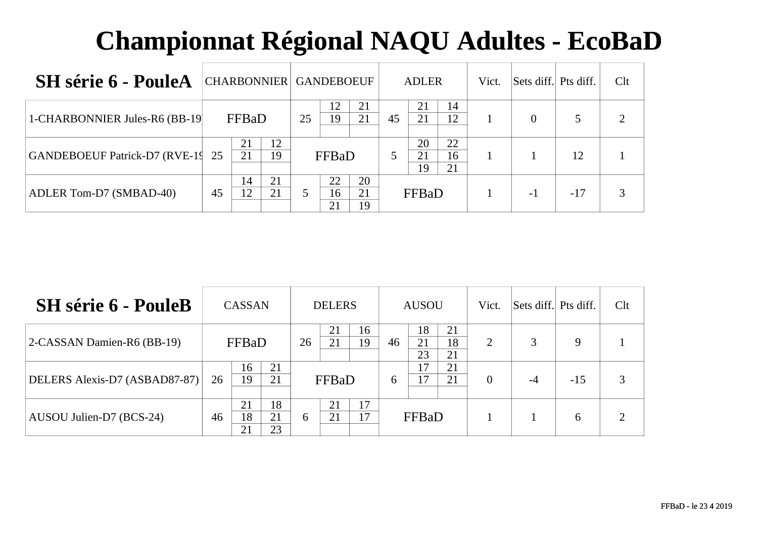| <b>SH</b> série 6 - PouleA       |          | CHARBONNIER GANDEBOEUF |    |                |                |    | <b>ADLER</b>   |                | Vict. | Sets diff. Pts diff. |       | Clt |
|----------------------------------|----------|------------------------|----|----------------|----------------|----|----------------|----------------|-------|----------------------|-------|-----|
| 1-CHARBONNIER Jules-R6 (BB-19)   |          | FFBaD                  | 25 | 12<br>19       | 21<br>21       | 45 | 21<br>21       | 14<br>12       |       | $\Omega$             |       |     |
| GANDEBOEUF Patrick-D7 (RVE-19 25 | 21<br>21 | 12<br>19               |    | FFBaD          |                | 5  | 20<br>21<br>19 | 22<br>16<br>21 |       |                      | 12    |     |
| ADLER Tom-D7 (SMBAD-40)          | 45       | 21<br>14<br>12<br>21   |    | 22<br>16<br>21 | 20<br>21<br>19 |    | FFBaD          |                |       | - 1                  | $-17$ |     |

| <b>SH</b> série 6 - PouleB    |    | <b>CASSAN</b>  |                |    | <b>DELERS</b> |          |    | <b>AUSOU</b>     |                | Vict.          | Sets diff. Pts diff. |       | Clt |
|-------------------------------|----|----------------|----------------|----|---------------|----------|----|------------------|----------------|----------------|----------------------|-------|-----|
| 2-CASSAN Damien-R6 (BB-19)    |    | FFBaD          |                | 26 | 21<br>21      | 16<br>19 | 46 | 18<br>21<br>23   | 21<br>18<br>21 | $\overline{2}$ | 3                    | 9     |     |
| DELERS Alexis-D7 (ASBAD87-87) | 26 | 16<br>19       | 21<br>21       |    | FFBaD         |          | 6  | $\sqrt{7}$<br>17 | 21<br>21       | $\Omega$       | $-4$                 | $-15$ | 3   |
| AUSOU Julien-D7 (BCS-24)      | 46 | 21<br>18<br>21 | 18<br>21<br>23 | 6  | 21<br>21      | 17<br>17 |    | FFBaD            |                |                |                      | 6     |     |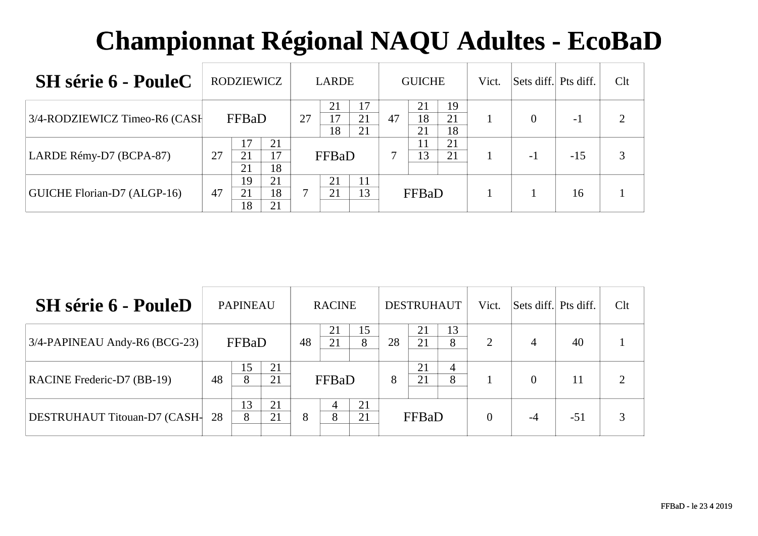| <b>SH</b> série 6 - PouleC    | <b>RODZIEWICZ</b>                      | <b>LARDE</b>                     | <b>GUICHE</b>                          | Vict. | Sets diff. Pts diff. |       | Clt |
|-------------------------------|----------------------------------------|----------------------------------|----------------------------------------|-------|----------------------|-------|-----|
| 3/4-RODZIEWICZ Timeo-R6 (CASH | FFBaD                                  | 17<br>21<br>27<br>21<br>18<br>21 | 19<br>21<br>21<br>18<br>47<br>18<br>21 |       | $\Omega$             | - 1   | ◠   |
| LARDE Rémy-D7 (BCPA-87)       | 17<br>21<br>17<br>27<br>21<br>18<br>21 | FFBaD                            | 21<br>11<br>13<br>21                   |       | -1                   | $-15$ |     |
| GUICHE Florian-D7 (ALGP-16)   | 19<br>21<br>18<br>21<br>47<br>18<br>21 | 21<br>11<br>13<br>21             | FFBaD                                  |       |                      | 16    |     |

| <b>SH</b> série 6 - PouleD    |    | <b>PAPINEAU</b> |          |    | <b>RACINE</b> |          |    | <b>DESTRUHAUT</b> |         | Vict.    | Sets diff. Pts diff. |       | Clt |
|-------------------------------|----|-----------------|----------|----|---------------|----------|----|-------------------|---------|----------|----------------------|-------|-----|
| 3/4-PAPINEAU Andy-R6 (BCG-23) |    | FFBaD           |          | 48 | 21            | 15<br>8  | 28 | 21<br>21          | 13<br>8 | 2        | 4                    | 40    |     |
| RACINE Frederic-D7 (BB-19)    | 48 | 15<br>8         | 21<br>21 |    | FFBaD         |          | 8  | 21<br>21          | 4<br>8  |          | $\theta$             | 11    | ി   |
| DESTRUHAUT Titouan-D7 (CASH-  | 28 | 13<br>8         | 21<br>21 | 8  | 4<br>8        | 21<br>21 |    | FFBaD             |         | $\Omega$ | -4                   | $-51$ |     |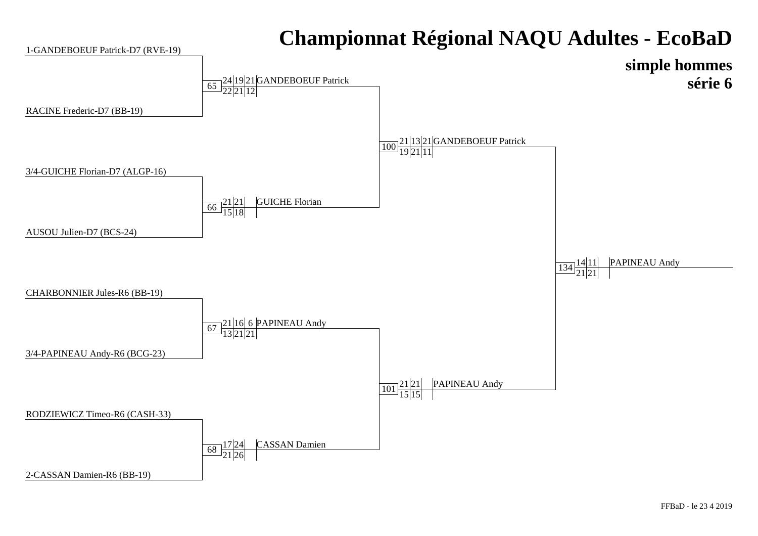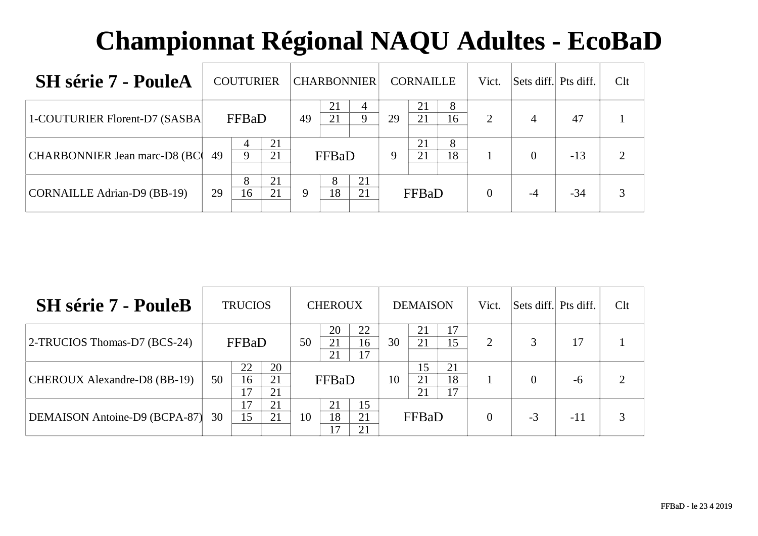| <b>SH</b> série 7 - PouleA         |    | <b>COUTURIER</b>  |          | <b>CHARBONNIER</b> |                |          |    | <b>CORNAILLE</b> |         | Vict.    | Sets diff.     | Pts diff. | Clt |
|------------------------------------|----|-------------------|----------|--------------------|----------------|----------|----|------------------|---------|----------|----------------|-----------|-----|
| 1-COUTURIER Florent-D7 (SASBA)     |    | FFBaD             |          | 49                 | 21<br>21       | Q.       | 29 | 21<br>21         | 8<br>16 | 2        | $\overline{4}$ | 47        |     |
| CHARBONNIER Jean marc-D8 (BC)      | 49 | 4<br>$\mathbf{Q}$ | 21<br>21 |                    | FFBaD          |          | 9  | 21<br>21         | 8<br>18 |          | $\Omega$       | $-13$     |     |
| <b>CORNAILLE Adrian-D9 (BB-19)</b> | 29 | 8<br>16           | 21<br>21 | 9                  | $\Omega$<br>18 | 21<br>21 |    | FFBaD            |         | $\theta$ | -4             | $-34$     |     |

| <b>SH</b> série 7 - PouleB    |    | <b>TRUCIOS</b> |                |    | <b>CHEROUX</b> |                |    | <b>DEMAISON</b> |                | Vict.                 | Sets diff. Pts diff. |       | Clt |
|-------------------------------|----|----------------|----------------|----|----------------|----------------|----|-----------------|----------------|-----------------------|----------------------|-------|-----|
| 2-TRUCIOS Thomas-D7 (BCS-24)  |    | FFBaD          |                | 50 | 20<br>21<br>21 | 22<br>16<br>17 | 30 | 21<br>21        | 17<br>15       | $\mathcal{D}_{\cdot}$ | 3                    |       |     |
| CHEROUX Alexandre-D8 (BB-19)  | 50 | 22<br>16<br>17 | 20<br>21<br>21 |    | FFBaD          |                | 10 | 15<br>21<br>21  | 21<br>18<br>17 |                       |                      | -6    |     |
| DEMAISON Antoine-D9 (BCPA-87) | 30 | 17<br>15       | 21<br>21       | 10 | 21<br>18<br>17 | 15<br>21<br>21 |    | FFBaD           |                | $\Omega$              | $-3$                 | $-11$ |     |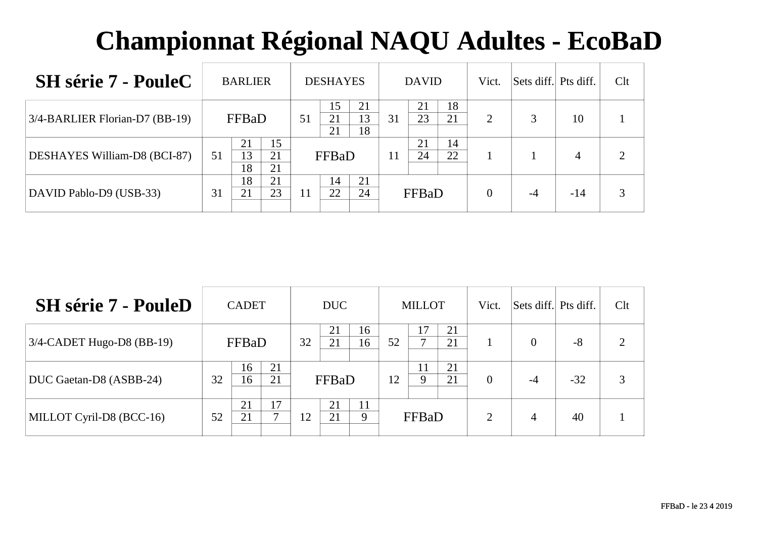| <b>SH</b> série 7 - PouleC     | <b>BARLIER</b>                         | <b>DESHAYES</b>                        | <b>DAVID</b>               | Vict.    | Sets diff. Pts diff. |       | Clt |
|--------------------------------|----------------------------------------|----------------------------------------|----------------------------|----------|----------------------|-------|-----|
| 3/4-BARLIER Florian-D7 (BB-19) | FFBaD                                  | 15<br>21<br>13<br>21<br>51<br>18<br>21 | 18<br>21<br>23<br>21<br>31 | 2        |                      | 10    |     |
| DESHAYES William-D8 (BCI-87)   | 15<br>21<br>13<br>21<br>51<br>18<br>21 | FFBaD                                  | 21<br>14<br>22<br>24<br>11 |          |                      | 4     | ∍   |
| DAVID Pablo-D9 (USB-33)        | 18<br>21<br>23<br>21<br>31             | 21<br>14<br>22<br>24<br>11             | FFBaD                      | $\Omega$ | -4                   | $-14$ | 3   |

| <b>SH</b> série 7 - PouleD   |    | <b>CADET</b> |          |    | DUC      |          |    | <b>MILLOT</b>      |          | Vict.    | Sets diff. Pts diff. |       | Clt |
|------------------------------|----|--------------|----------|----|----------|----------|----|--------------------|----------|----------|----------------------|-------|-----|
| $3/4$ -CADET Hugo-D8 (BB-19) |    | FFBaD        |          | 32 | 21<br>21 | 16<br>16 | 52 | 17<br>$\mathbf{r}$ | 21<br>21 |          | $\theta$             | $-8$  | ∍   |
| DUC Gaetan-D8 (ASBB-24)      | 32 | 16<br>16     | 21<br>21 |    | FFBaD    |          | 12 | 11<br>9            | 21<br>21 | $\Omega$ | $-4$                 | $-32$ | 3   |
| MILLOT Cyril-D8 (BCC-16)     | 52 | 21<br>21     | 17<br>⇁  | 12 | 21<br>21 | 11<br>9  |    | FFBaD              |          | 2        | $\overline{4}$       | 40    |     |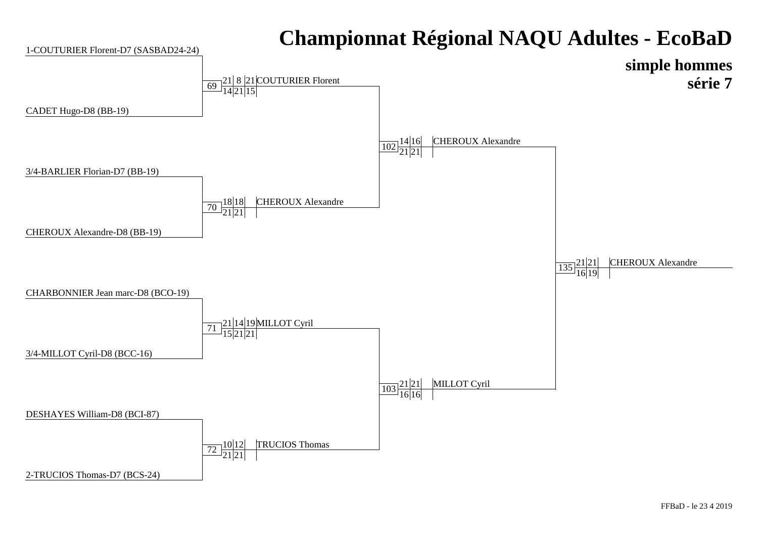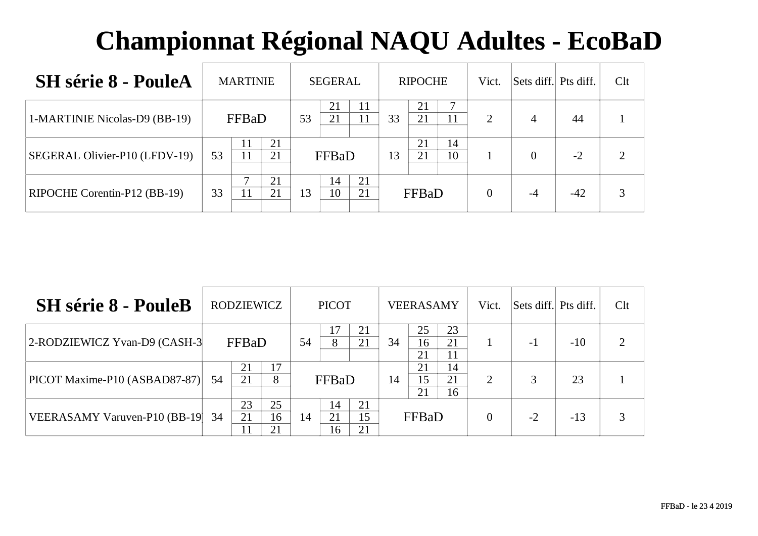| <b>SH</b> série 8 - PouleA    | <b>MARTINIE</b> |          | <b>SEGERAL</b> |          |          | <b>RIPOCHE</b> |              | Vict.    | Sets diff. Pts diff. |          | Clt   |  |
|-------------------------------|-----------------|----------|----------------|----------|----------|----------------|--------------|----------|----------------------|----------|-------|--|
| 1-MARTINIE Nicolas-D9 (BB-19) | FFBaD           | 53       | 21<br>21       |          | 33       | 21<br>21       | −            | 2        | 4                    | 44       |       |  |
| SEGERAL Olivier-P10 (LFDV-19) | 11<br>53        | 21<br>21 |                | FFBaD    |          | 13             | 21<br>21     | 14<br>10 |                      | $\theta$ | $-2$  |  |
| RIPOCHE Corentin-P12 (BB-19)  | 33<br>11        | 21<br>21 | 13             | 14<br>10 | 21<br>21 |                | <b>FFBaD</b> |          | $\theta$             | $-4$     | $-42$ |  |

| <b>SH</b> série 8 - PouleB    | <b>RODZIEWICZ</b> |          |                |    | <b>PICOT</b>   |                | <b>VEERASAMY</b> |                |                | Vict. | Sets diff. Pts diff. |       | Clt |
|-------------------------------|-------------------|----------|----------------|----|----------------|----------------|------------------|----------------|----------------|-------|----------------------|-------|-----|
| 2-RODZIEWICZ Yvan-D9 (CASH-3) |                   | FFBaD    |                | 54 |                | 21<br>21       | 34               | 25<br>16<br>21 | 23<br>21<br>11 |       | -1                   | $-10$ |     |
| PICOT Maxime-P10 (ASBAD87-87) | 54                | 21<br>21 | 17<br>8        |    | FFBaD          |                | 14               | 21<br>15<br>21 | 14<br>21<br>16 | 2     | 3                    | 23    |     |
| VEERASAMY Varuven-P10 (BB-19) | 34                | 23<br>21 | 25<br>16<br>21 | 14 | 14<br>21<br>16 | 21<br>15<br>21 |                  | FFBaD          |                |       | $-2$                 | $-13$ |     |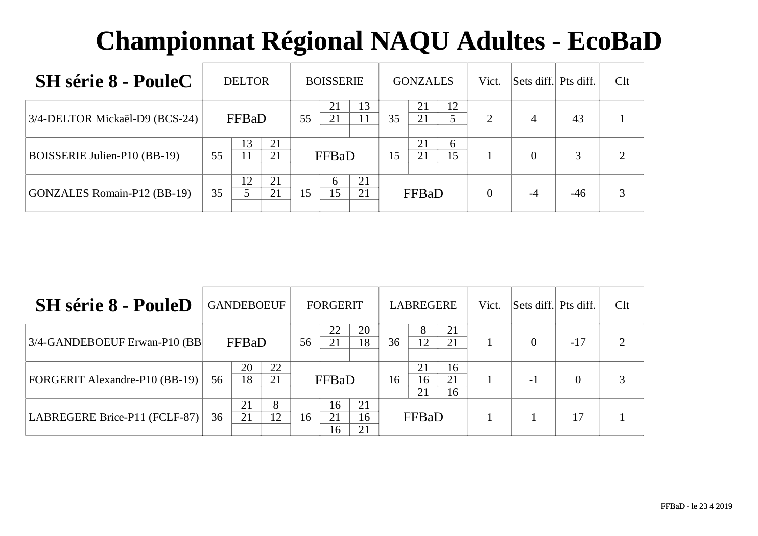| <b>SH</b> série 8 - PouleC         | <b>DELTOR</b> |    |          |    | <b>BOISSERIE</b>   |          |    | <b>GONZALES</b> |         | Vict. | Sets diff. Pts diff. |       | Clt |
|------------------------------------|---------------|----|----------|----|--------------------|----------|----|-----------------|---------|-------|----------------------|-------|-----|
| 3/4-DELTOR Mickaël-D9 (BCS-24)     | FFBaD         |    |          | 55 | 21<br>21           | 13       | 35 | 21<br>21        | 12      | 2     | 4                    | 43    |     |
| BOISSERIE Julien-P10 (BB-19)       | 55            | 13 | 21<br>21 |    | FFBaD              |          | 15 | 21<br>21        | 6<br>15 |       | $\theta$             | 3     |     |
| <b>GONZALES Romain-P12 (BB-19)</b> | 35            | 12 | 21<br>21 | 15 | <sub>0</sub><br>15 | 21<br>21 |    | <b>FFBaD</b>    |         |       | $-4$                 | $-46$ |     |

| <b>SH</b> série 8 - PouleD            | <b>GANDEBOEUF</b> |          |          |    | <b>FORGERIT</b> |                | <b>LABREGERE</b> |                |                | Vict. | Sets diff. Pts diff. |          | Clt |
|---------------------------------------|-------------------|----------|----------|----|-----------------|----------------|------------------|----------------|----------------|-------|----------------------|----------|-----|
| 3/4-GANDEBOEUF Erwan-P10 (BB          |                   | FFBaD    |          |    | 22<br>21        | 20<br>18       | 36               | 8<br>12        | 21<br>21       |       | $\Omega$             | $-17$    |     |
| <b>FORGERIT Alexandre-P10 (BB-19)</b> | 56                | 20<br>18 | 22<br>21 |    | FFBaD           |                | 16               | 21<br>16<br>21 | 16<br>21<br>16 |       | $-1$                 | $\Omega$ |     |
| LABREGERE Brice-P11 (FCLF-87)         | 36                | 21<br>21 | 8<br>12  | 16 | 16<br>21<br>16  | 21<br>16<br>21 |                  | FFBaD          |                |       |                      | 17       |     |